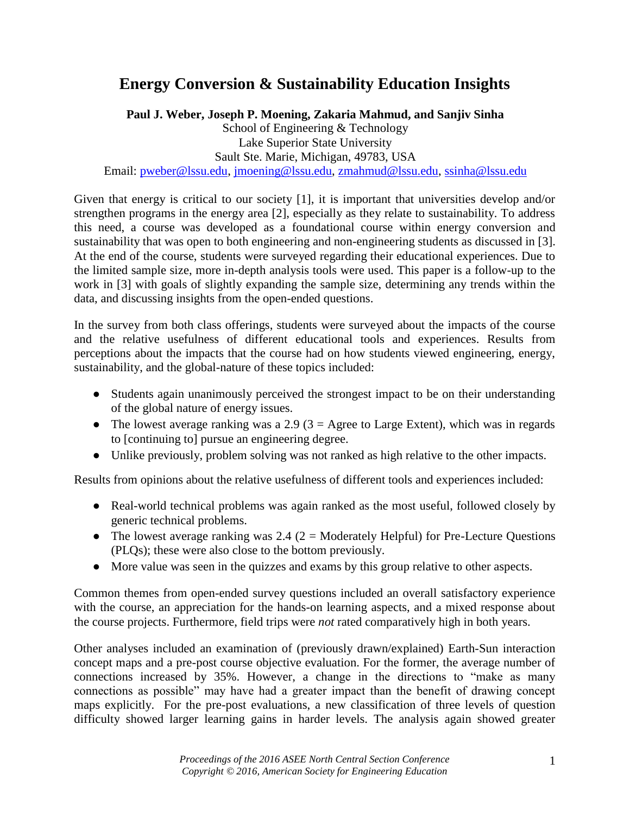## **Energy Conversion & Sustainability Education Insights**

**Paul J. Weber, Joseph P. Moening, Zakaria Mahmud, and Sanjiv Sinha** School of Engineering & Technology Lake Superior State University Sault Ste. Marie, Michigan, 49783, USA Email: [pweber@lssu.edu,](mailto:pweber@lssu.edu) [jmoening@lssu.edu,](mailto:jmoening@lssu.edu) [zmahmud@lssu.edu,](mailto:zmahmud@lssu.edu) [ssinha@lssu.edu](mailto:ssinha@lssu.edu)

Given that energy is critical to our society [1], it is important that universities develop and/or strengthen programs in the energy area [2], especially as they relate to sustainability. To address this need, a course was developed as a foundational course within energy conversion and sustainability that was open to both engineering and non-engineering students as discussed in [3]. At the end of the course, students were surveyed regarding their educational experiences. Due to the limited sample size, more in-depth analysis tools were used. This paper is a follow-up to the work in [3] with goals of slightly expanding the sample size, determining any trends within the data, and discussing insights from the open-ended questions.

In the survey from both class offerings, students were surveyed about the impacts of the course and the relative usefulness of different educational tools and experiences. Results from perceptions about the impacts that the course had on how students viewed engineering, energy, sustainability, and the global-nature of these topics included:

- Students again unanimously perceived the strongest impact to be on their understanding of the global nature of energy issues.
- The lowest average ranking was a 2.9 ( $3 =$  Agree to Large Extent), which was in regards to [continuing to] pursue an engineering degree.
- Unlike previously, problem solving was not ranked as high relative to the other impacts.

Results from opinions about the relative usefulness of different tools and experiences included:

- Real-world technical problems was again ranked as the most useful, followed closely by generic technical problems.
- The lowest average ranking was 2.4 ( $2 =$  Moderately Helpful) for Pre-Lecture Questions (PLQs); these were also close to the bottom previously.
- More value was seen in the quizzes and exams by this group relative to other aspects.

Common themes from open-ended survey questions included an overall satisfactory experience with the course, an appreciation for the hands-on learning aspects, and a mixed response about the course projects. Furthermore, field trips were *not* rated comparatively high in both years.

Other analyses included an examination of (previously drawn/explained) Earth-Sun interaction concept maps and a pre-post course objective evaluation. For the former, the average number of connections increased by 35%. However, a change in the directions to "make as many connections as possible" may have had a greater impact than the benefit of drawing concept maps explicitly. For the pre-post evaluations, a new classification of three levels of question difficulty showed larger learning gains in harder levels. The analysis again showed greater